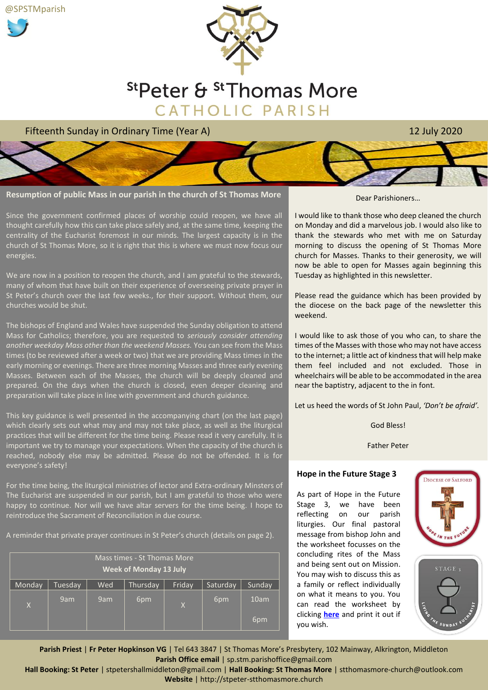@SPSTMparish





Fifteenth Sunday in Ordinary Time (Year A) 12 July 2020



**Resumption of public Mass in our parish in the church of St Thomas More**

Since the government confirmed places of worship could reopen, we have all thought carefully how this can take place safely and, at the same time, keeping the centrality of the Eucharist foremost in our minds. The largest capacity is in the church of St Thomas More, so it is right that this is where we must now focus our energies.

We are now in a position to reopen the church, and I am grateful to the stewards, many of whom that have built on their experience of overseeing private prayer in St Peter's church over the last few weeks., for their support. Without them, our churches would be shut.

The bishops of England and Wales have suspended the Sunday obligation to attend Mass for Catholics; therefore, you are requested to *seriously consider attending another weekday Mass other than the weekend Masses.* You can see from the Mass times (to be reviewed after a week or two) that we are providing Mass times in the early morning or evenings. There are three morning Masses and three early evening Masses. Between each of the Masses, the church will be deeply cleaned and prepared. On the days when the church is closed, even deeper cleaning and preparation will take place in line with government and church guidance.

This key guidance is well presented in the accompanying chart (on the last page) which clearly sets out what may and may not take place, as well as the liturgical practices that will be different for the time being. Please read it very carefully. It is important we try to manage your expectations. When the capacity of the church is reached, nobody else may be admitted. Please do not be offended. It is for everyone's safety!

For the time being, the liturgical ministries of lector and Extra-ordinary Minsters of The Eucharist are suspended in our parish, but I am grateful to those who were happy to continue. Nor will we have altar servers for the time being. I hope to reintroduce the Sacrament of Reconciliation in due course.

A reminder that private prayer continues in St Peter's church (details on page 2).

| Mass times - St Thomas More<br><b>Week of Monday 13 July</b> |         |     |          |              |          |        |  |  |  |
|--------------------------------------------------------------|---------|-----|----------|--------------|----------|--------|--|--|--|
| Monday                                                       | Tuesday | Wed | Thursday | Friday       | Saturday | Sunday |  |  |  |
| $\overline{X}$                                               | 9am     | 9am | 6pm      | $\mathsf{X}$ | 6pm      | 10am   |  |  |  |
|                                                              |         |     |          |              |          | 6pm    |  |  |  |

#### Dear Parishioners…

I would like to thank those who deep cleaned the church on Monday and did a marvelous job. I would also like to thank the stewards who met with me on Saturday morning to discuss the opening of St Thomas More church for Masses. Thanks to their generosity, we will now be able to open for Masses again beginning this Tuesday as highlighted in this newsletter.

Please read the guidance which has been provided by the diocese on the back page of the newsletter this weekend.

I would like to ask those of you who can, to share the times of the Masses with those who may not have access to the internet; a little act of kindness that will help make them feel included and not excluded. Those in wheelchairs will be able to be accommodated in the area near the baptistry, adjacent to the in font.

Let us heed the words of St John Paul, *'Don't be afraid'.*

God Bless!

Father Peter

## **Hope in the Future Stage 3**

As part of Hope in the Future Stage 3, we have been reflecting on our parish liturgies. Our final pastoral message from bishop John and the worksheet focusses on the concluding rites of the Mass and being sent out on Mission. You may wish to discuss this as a family or reflect individually on what it means to you. You can read the worksheet by clicking **[here](https://www.dioceseofsalford.org.uk/wp-content/uploads/HITF-3-Sheet-4.pdf)** and print it out if you wish.





**Parish Priest** | **Fr Peter Hopkinson VG** | Tel 643 3847 | St Thomas More's Presbytery, 102 Mainway, Alkrington, Middleton **Parish Office email** | sp.stm.parishoffice@gmail.com

**Hall Booking: St Peter** | stpetershallmiddleton@gmail.com | **Hall Booking: St Thomas More** | stthomasmore-church@outlook.com **Website** | http://stpeter-stthomasmore.church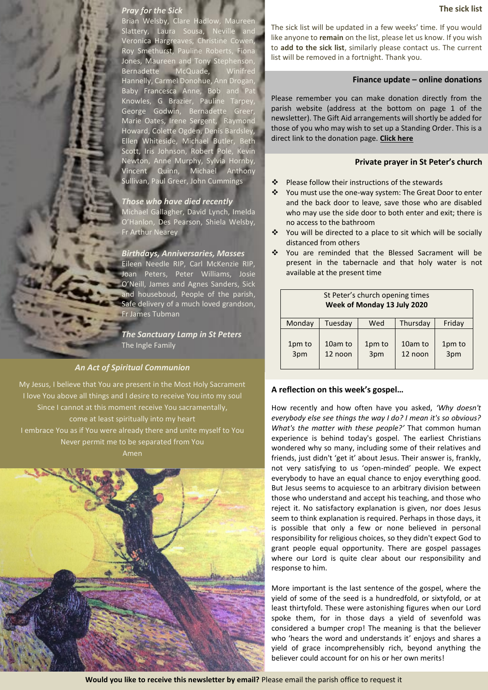## *Pray for the Sick*

Brian Welsby, Clare Hadlow, Maureen Slattery, Laura Sousa, Neville and Veronica Hargreaves, Christine Cowen, Roy Smethurst, Pauline Roberts, Fiona Jones, Maureen and Tony Stephenson, Bernadette McQuade, Winifred Hannelly, Carmel Donohue, Ann Drogan, Baby Francesca Anne, Bob and Pat Knowles, G Brazier, Pauline Tarpey, George Godwin, Bernadette Greer, Marie Oates, Irene Sergent, Raymond Howard, Colette Ogden, Denis Bardsley, Ellen Whiteside, Michael Butler, Beth Scott, Iris Johnson, Robert Pole, Kevin Newton, Anne Murphy, Sylvia Hornby, Vincent Quinn, Michael Anthony Sullivan, Paul Greer, John Cummings

## *Those who have died recently*

Michael Gallagher, David Lynch, Imelda O'Hanlon, Des Pearson, Shiela Welsby, Fr Arthur Nearey

#### *Birthdays, Anniversaries, Masses*

Eileen Needle RIP, Carl McKenzie RIP, Joan Peters, Peter Williams, Josie O'Neill, James and Agnes Sanders, Sick and houseboud, People of the parish, Safe delivery of a much loved grandson, Fr James Tubman

*The Sanctuary Lamp in St Peters* The Ingle Family

## *An Act of Spiritual Communion*

My Jesus, I believe that You are present in the Most Holy Sacrament I love You above all things and I desire to receive You into my soul Since I cannot at this moment receive You sacramentally, come at least spiritually into my heart I embrace You as if You were already there and unite myself to You Never permit me to be separated from You Amen



The sick list will be updated in a few weeks' time. If you would like anyone to **remain** on the list, please let us know. If you wish to **add to the sick list**, similarly please contact us. The current list will be removed in a fortnight. Thank you.

#### **Finance update – online donations**

Please remember you can make donation directly from the parish website (address at the bottom on page 1 of the newsletter). The Gift Aid arrangements will shortly be added for those of you who may wish to set up a Standing Order. This is a direct link to the donation page. **[Click here](https://donor.secure-operations.com/detailed/donate?charity_id=1086324&type=2&reference=W09&amount=)**

### **Private prayer in St Peter's church**

- ❖ Please follow their instructions of the stewards
- ❖ You must use the one-way system: The Great Door to enter and the back door to leave, save those who are disabled who may use the side door to both enter and exit; there is no access to the bathroom
- ❖ You will be directed to a place to sit which will be socially distanced from others
- ❖ You are reminded that the Blessed Sacrament will be present in the tabernacle and that holy water is not available at the present time

| St Peter's church opening times<br>Week of Monday 13 July 2020 |                    |               |                    |               |  |  |  |  |
|----------------------------------------------------------------|--------------------|---------------|--------------------|---------------|--|--|--|--|
| Monday                                                         | Tuesday            | Wed           | Thursday           | Friday        |  |  |  |  |
| 1pm to<br>3pm                                                  | 10am to<br>12 noon | 1pm to<br>3pm | 10am to<br>12 noon | 1pm to<br>3pm |  |  |  |  |

## **A reflection on this week's gospel…**

How recently and how often have you asked, *'Why doesn't everybody else see things the way I do? I mean it's so obvious? What's the matter with these people?'* That common human experience is behind today's gospel. The earliest Christians wondered why so many, including some of their relatives and friends, just didn't 'get it' about Jesus. Their answer is, frankly, not very satisfying to us 'open-minded' people. We expect everybody to have an equal chance to enjoy everything good. But Jesus seems to acquiesce to an arbitrary division between those who understand and accept his teaching, and those who reject it. No satisfactory explanation is given, nor does Jesus seem to think explanation is required. Perhaps in those days, it is possible that only a few or none believed in personal responsibility for religious choices, so they didn't expect God to grant people equal opportunity. There are gospel passages where our Lord is quite clear about our responsibility and response to him.

More important is the last sentence of the gospel, where the yield of some of the seed is a hundredfold, or sixtyfold, or at least thirtyfold. These were astonishing figures when our Lord spoke them, for in those days a yield of sevenfold was considered a bumper crop! The meaning is that the believer who 'hears the word and understands it' enjoys and shares a yield of grace incomprehensibly rich, beyond anything the believer could account for on his or her own merits!